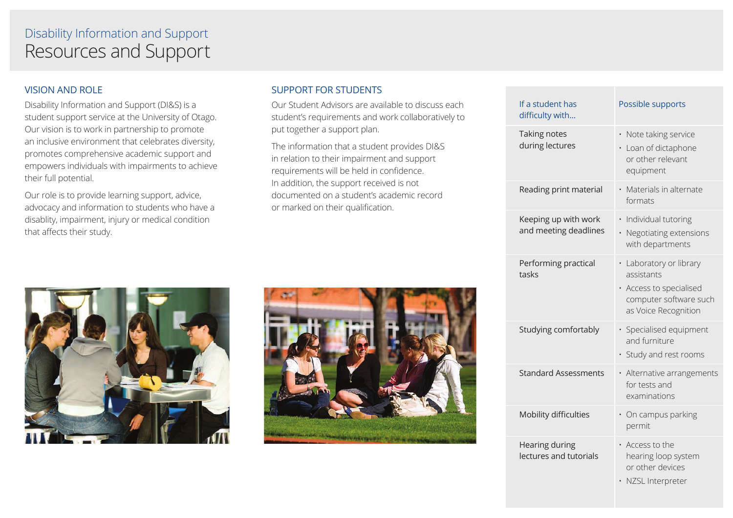## Resources and Support Disability Information and Support

### VISION AND ROLE

Disability Information and Support (DI&S) is a student support service at the University of Otago. Our vision is to work in partnership to promote an inclusive environment that celebrates diversity, promotes comprehensive academic support and empowers individuals with impairments to achieve their full potential.

Our role is to provide learning support, advice, advocacy and information to students who have a disablity, impairment, injury or medical condition that affects their study.

#### SUPPORT FOR STUDENTS

Our Student Advisors are available to discuss each student's requirements and work collaboratively to put together a support plan.

The information that a student provides DI&S in relation to their impairment and support requirements will be held in confidence. In addition, the support received is not documented on a student's academic record or marked on their qualification.

| If a student has<br>difficulty with           | Possible supports                                                                                                  |
|-----------------------------------------------|--------------------------------------------------------------------------------------------------------------------|
| Taking notes<br>during lectures               | · Note taking service<br>• Loan of dictaphone<br>or other relevant<br>equipment                                    |
| Reading print material                        | • Materials in alternate<br>formats                                                                                |
| Keeping up with work<br>and meeting deadlines | · Individual tutoring<br>· Negotiating extensions<br>with departments                                              |
| Performing practical<br>tasks                 | • Laboratory or library<br>assistants<br>· Access to specialised<br>computer software such<br>as Voice Recognition |
| Studying comfortably                          | · Specialised equipment<br>and furniture<br>· Study and rest rooms                                                 |
| <b>Standard Assessments</b>                   | · Alternative arrangements<br>for tests and<br>examinations                                                        |
| Mobility difficulties                         | • On campus parking<br>permit                                                                                      |
| Hearing during<br>lectures and tutorials      | • Access to the<br>hearing loop system<br>or other devices<br>· NZSL Interpreter                                   |